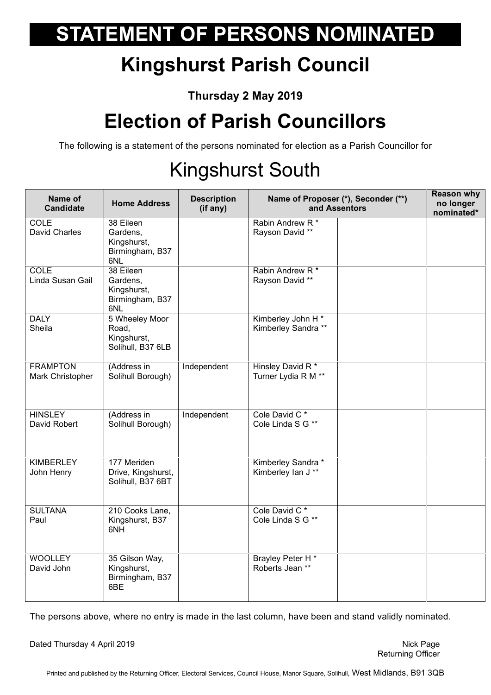## **STATEMENT OF PERSONS NOMINATED**

## **Kingshurst Parish Council**

**Thursday 2 May 2019**

## **Election of Parish Councillors**

The following is a statement of the persons nominated for election as a Parish Councillor for

## Kingshurst South

| Name of<br><b>Candidate</b>         | <b>Home Address</b>                                            | <b>Description</b><br>(if any) | Name of Proposer (*), Seconder (**)<br>and Assentors |  | <b>Reason why</b><br>no longer<br>nominated* |
|-------------------------------------|----------------------------------------------------------------|--------------------------------|------------------------------------------------------|--|----------------------------------------------|
| COLE<br>David Charles               | 38 Eileen<br>Gardens,<br>Kingshurst,<br>Birmingham, B37<br>6NL |                                | Rabin Andrew R <sup>*</sup><br>Rayson David **       |  |                                              |
| <b>COLE</b><br>Linda Susan Gail     | 38 Eileen<br>Gardens,<br>Kingshurst,<br>Birmingham, B37<br>6NL |                                | Rabin Andrew R*<br>Rayson David **                   |  |                                              |
| <b>DALY</b><br>Sheila               | 5 Wheeley Moor<br>Road,<br>Kingshurst,<br>Solihull, B37 6LB    |                                | Kimberley John H*<br>Kimberley Sandra **             |  |                                              |
| <b>FRAMPTON</b><br>Mark Christopher | (Address in<br>Solihull Borough)                               | Independent                    | Hinsley David R*<br>Turner Lydia R M **              |  |                                              |
| <b>HINSLEY</b><br>David Robert      | (Address in<br>Solihull Borough)                               | Independent                    | Cole David C <sup>*</sup><br>Cole Linda S G **       |  |                                              |
| <b>KIMBERLEY</b><br>John Henry      | 177 Meriden<br>Drive, Kingshurst,<br>Solihull, B37 6BT         |                                | Kimberley Sandra *<br>Kimberley Ian J **             |  |                                              |
| <b>SULTANA</b><br>Paul              | 210 Cooks Lane,<br>Kingshurst, B37<br>6NH                      |                                | Cole David C <sup>*</sup><br>Cole Linda S G **       |  |                                              |
| <b>WOOLLEY</b><br>David John        | 35 Gilson Way,<br>Kingshurst,<br>Birmingham, B37<br>6BE        |                                | Brayley Peter H*<br>Roberts Jean **                  |  |                                              |

The persons above, where no entry is made in the last column, have been and stand validly nominated.

Dated Thursday 4 April 2019 Nick Page 2019

Printed and published by the Returning Officer, Electoral Services, Council House, Manor Square, Solihull, West Midlands, B91 3QB